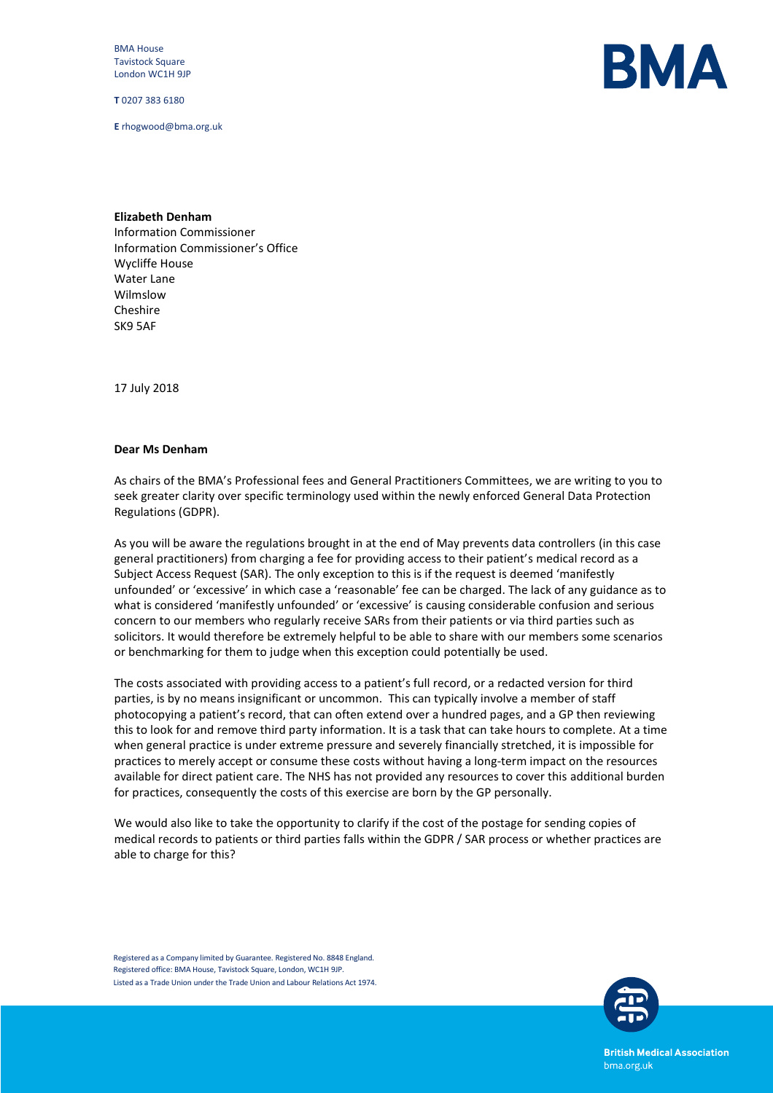BMA House Tavistock Square London WC1H 9JP

**T** 0207 383 6180

**E** rhogwood@bma.org.uk



## **Elizabeth Denham**

Information Commissioner Information Commissioner's Office Wycliffe House Water Lane Wilmslow Cheshire SK9 5AF

17 July 2018

## **Dear Ms Denham**

As chairs of the BMA's Professional fees and General Practitioners Committees, we are writing to you to seek greater clarity over specific terminology used within the newly enforced General Data Protection Regulations (GDPR).

As you will be aware the regulations brought in at the end of May prevents data controllers (in this case general practitioners) from charging a fee for providing access to their patient's medical record as a Subject Access Request (SAR). The only exception to this is if the request is deemed 'manifestly unfounded' or 'excessive' in which case a 'reasonable' fee can be charged. The lack of any guidance as to what is considered 'manifestly unfounded' or 'excessive' is causing considerable confusion and serious concern to our members who regularly receive SARs from their patients or via third parties such as solicitors. It would therefore be extremely helpful to be able to share with our members some scenarios or benchmarking for them to judge when this exception could potentially be used.

The costs associated with providing access to a patient's full record, or a redacted version for third parties, is by no means insignificant or uncommon. This can typically involve a member of staff photocopying a patient's record, that can often extend over a hundred pages, and a GP then reviewing this to look for and remove third party information. It is a task that can take hours to complete. At a time when general practice is under extreme pressure and severely financially stretched, it is impossible for practices to merely accept or consume these costs without having a long-term impact on the resources available for direct patient care. The NHS has not provided any resources to cover this additional burden for practices, consequently the costs of this exercise are born by the GP personally.

We would also like to take the opportunity to clarify if the cost of the postage for sending copies of medical records to patients or third parties falls within the GDPR / SAR process or whether practices are able to charge for this?

Registered as a Company limited by Guarantee. Registered No. 8848 England. Registered office: BMA House, Tavistock Square, London, WC1H 9JP. Listed as a Trade Union under the Trade Union and Labour Relations Act 1974.



**British Medical Association** bma.org.uk